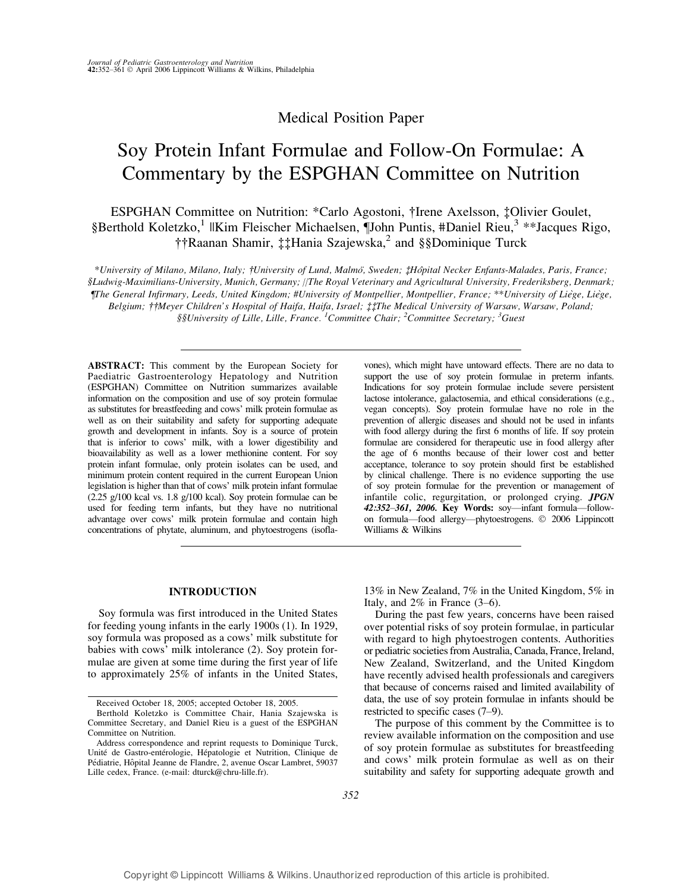## Medical Position Paper

# Soy Protein Infant Formulae and Follow-On Formulae: A Commentary by the ESPGHAN Committee on Nutrition

ESPGHAN Committee on Nutrition: \*Carlo Agostoni, †Irene Axelsson, ‡Olivier Goulet, §Berthold Koletzko,<sup>1</sup> ||Kim Fleischer Michaelsen, ¶John Puntis, #Daniel Rieu,<sup>3</sup> \*\*Jacques Rigo, ††Raanan Shamir, ‡‡Hania Szajewska,<sup>2</sup> and §§Dominique Turck

\*University of Milano, Milano, Italy; †University of Lund, Malmo¨, Sweden; ‡Hoˆpital Necker Enfants-Malades, Paris, France; §Ludwig-Maximilians-University, Munich, Germany; ||The Royal Veterinary and Agricultural University, Frederiksberg, Denmark; ¶The General Infirmary, Leeds, United Kingdom; #University of Montpellier, Montpellier, France; \*\*University of Lie`ge, Lie`ge, Belgium; ††Meyer Children's Hospital of Haifa, Haifa, Israel; ‡‡The Medical University of Warsaw, Warsaw, Poland;

 $\S\$ University of Lille, Lille, France.  $^1$ Committee Chair;  $^2$ Committee Secretary;  $^3$ Guest

ABSTRACT: This comment by the European Society for Paediatric Gastroenterology Hepatology and Nutrition (ESPGHAN) Committee on Nutrition summarizes available information on the composition and use of soy protein formulae as substitutes for breastfeeding and cows' milk protein formulae as well as on their suitability and safety for supporting adequate growth and development in infants. Soy is a source of protein that is inferior to cows' milk, with a lower digestibility and bioavailability as well as a lower methionine content. For soy protein infant formulae, only protein isolates can be used, and minimum protein content required in the current European Union legislation is higher than that of cows' milk protein infant formulae (2.25 g/100 kcal vs. 1.8 g/100 kcal). Soy protein formulae can be used for feeding term infants, but they have no nutritional advantage over cows' milk protein formulae and contain high concentrations of phytate, aluminum, and phytoestrogens (isoflavones), which might have untoward effects. There are no data to support the use of soy protein formulae in preterm infants. Indications for soy protein formulae include severe persistent lactose intolerance, galactosemia, and ethical considerations (e.g., vegan concepts). Soy protein formulae have no role in the prevention of allergic diseases and should not be used in infants with food allergy during the first 6 months of life. If soy protein formulae are considered for therapeutic use in food allergy after the age of 6 months because of their lower cost and better acceptance, tolerance to soy protein should first be established by clinical challenge. There is no evidence supporting the use of soy protein formulae for the prevention or management of infantile colic, regurgitation, or prolonged crying. JPGN 42:352-361, 2006. Key Words: soy-infant formula-followon formula—food allergy—phytoestrogens.  $©$  2006 Lippincott Williams & Wilkins

## INTRODUCTION

Soy formula was first introduced in the United States for feeding young infants in the early 1900s (1). In 1929, soy formula was proposed as a cows' milk substitute for babies with cows' milk intolerance (2). Soy protein formulae are given at some time during the first year of life to approximately 25% of infants in the United States,

13% in New Zealand, 7% in the United Kingdom, 5% in Italy, and  $2\%$  in France (3–6).

During the past few years, concerns have been raised over potential risks of soy protein formulae, in particular with regard to high phytoestrogen contents. Authorities or pediatric societies from Australia, Canada, France, Ireland, New Zealand, Switzerland, and the United Kingdom have recently advised health professionals and caregivers that because of concerns raised and limited availability of data, the use of soy protein formulae in infants should be restricted to specific cases  $(7-9)$ .

The purpose of this comment by the Committee is to review available information on the composition and use of soy protein formulae as substitutes for breastfeeding and cows' milk protein formulae as well as on their suitability and safety for supporting adequate growth and

Received October 18, 2005; accepted October 18, 2005.

Berthold Koletzko is Committee Chair, Hania Szajewska is Committee Secretary, and Daniel Rieu is a guest of the ESPGHAN Committee on Nutrition.

Address correspondence and reprint requests to Dominique Turck, Unité de Gastro-entérologie, Hépatologie et Nutrition, Clinique de Pédiatrie, Hôpital Jeanne de Flandre, 2, avenue Oscar Lambret, 59037 Lille cedex, France. (e-mail: dturck@chru-lille.fr).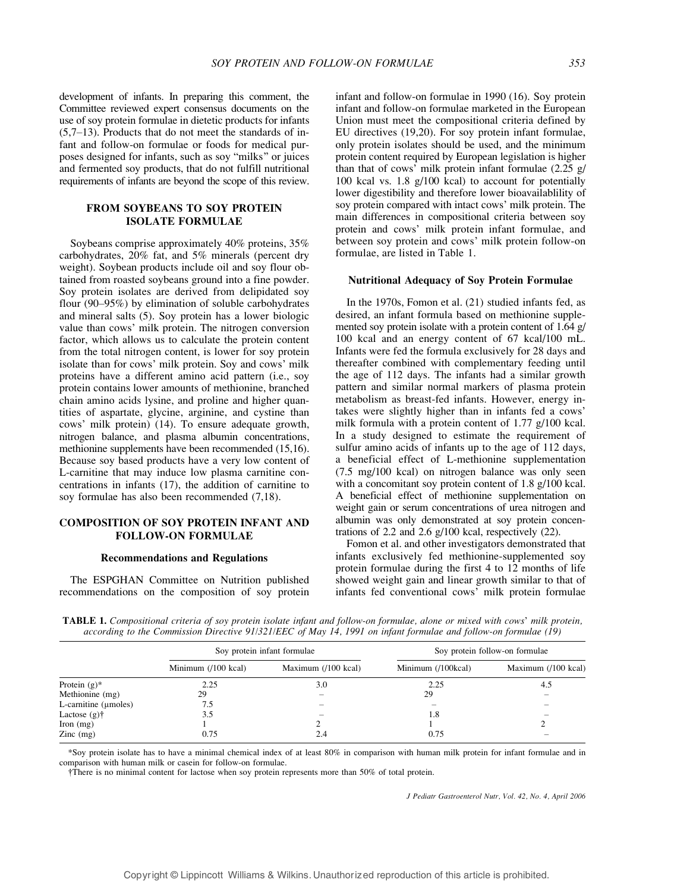development of infants. In preparing this comment, the Committee reviewed expert consensus documents on the use of soy protein formulae in dietetic products for infants  $(5,7-13)$ . Products that do not meet the standards of infant and follow-on formulae or foods for medical purposes designed for infants, such as soy "milks" or juices and fermented soy products, that do not fulfill nutritional requirements of infants are beyond the scope of this review.

## FROM SOYBEANS TO SOY PROTEIN ISOLATE FORMULAE

Soybeans comprise approximately 40% proteins, 35% carbohydrates, 20% fat, and 5% minerals (percent dry weight). Soybean products include oil and soy flour obtained from roasted soybeans ground into a fine powder. Soy protein isolates are derived from delipidated soy flour  $(90-95%)$  by elimination of soluble carbohydrates and mineral salts (5). Soy protein has a lower biologic value than cows' milk protein. The nitrogen conversion factor, which allows us to calculate the protein content from the total nitrogen content, is lower for soy protein isolate than for cows' milk protein. Soy and cows' milk proteins have a different amino acid pattern (i.e., soy protein contains lower amounts of methionine, branched chain amino acids lysine, and proline and higher quantities of aspartate, glycine, arginine, and cystine than cows' milk protein) (14). To ensure adequate growth, nitrogen balance, and plasma albumin concentrations, methionine supplements have been recommended (15,16). Because soy based products have a very low content of L-carnitine that may induce low plasma carnitine concentrations in infants (17), the addition of carnitine to soy formulae has also been recommended (7,18).

## COMPOSITION OF SOY PROTEIN INFANT AND FOLLOW-ON FORMULAE

#### Recommendations and Regulations

The ESPGHAN Committee on Nutrition published recommendations on the composition of soy protein infant and follow-on formulae in 1990 (16). Soy protein infant and follow-on formulae marketed in the European Union must meet the compositional criteria defined by EU directives (19,20). For soy protein infant formulae, only protein isolates should be used, and the minimum protein content required by European legislation is higher than that of cows' milk protein infant formulae  $(2.25 \text{ g})$ 100 kcal vs. 1.8 g/100 kcal) to account for potentially lower digestibility and therefore lower bioavailablility of soy protein compared with intact cows' milk protein. The main differences in compositional criteria between soy protein and cows' milk protein infant formulae, and between soy protein and cows' milk protein follow-on formulae, are listed in Table 1.

#### Nutritional Adequacy of Soy Protein Formulae

In the 1970s, Fomon et al. (21) studied infants fed, as desired, an infant formula based on methionine supplemented soy protein isolate with a protein content of 1.64 g/ 100 kcal and an energy content of 67 kcal/100 mL. Infants were fed the formula exclusively for 28 days and thereafter combined with complementary feeding until the age of 112 days. The infants had a similar growth pattern and similar normal markers of plasma protein metabolism as breast-fed infants. However, energy intakes were slightly higher than in infants fed a cows\_ milk formula with a protein content of 1.77 g/100 kcal. In a study designed to estimate the requirement of sulfur amino acids of infants up to the age of 112 days, a beneficial effect of L-methionine supplementation (7.5 mg/100 kcal) on nitrogen balance was only seen with a concomitant soy protein content of 1.8 g/100 kcal. A beneficial effect of methionine supplementation on weight gain or serum concentrations of urea nitrogen and albumin was only demonstrated at soy protein concentrations of 2.2 and 2.6 g/100 kcal, respectively (22).

Fomon et al. and other investigators demonstrated that infants exclusively fed methionine-supplemented soy protein formulae during the first 4 to 12 months of life showed weight gain and linear growth similar to that of infants fed conventional cows' milk protein formulae

| TABLE 1. Compositional criteria of soy protein isolate infant and follow-on formulae, alone or mixed with cows' milk protein, |  |  |  |  |
|-------------------------------------------------------------------------------------------------------------------------------|--|--|--|--|
| according to the Commission Directive 91/321/EEC of May 14, 1991 on infant formulae and follow-on formulae (19)               |  |  |  |  |

|                           |                              | Soy protein infant formulae | Soy protein follow-on formulae |                     |  |
|---------------------------|------------------------------|-----------------------------|--------------------------------|---------------------|--|
|                           | Minimum $(100 \text{ kcal})$ | Maximum (/100 kcal)         | Minimum (/100kcal)             | Maximum (/100 kcal) |  |
| Protein $(g)^*$           | 2.25                         | 3.0                         | 2.25                           | 4.5                 |  |
| Methionine (mg)           | 29                           |                             | 29                             |                     |  |
| L-carnitine $(\mu$ moles) | 7.5                          |                             |                                |                     |  |
| Lactose $(g)\dagger$      | 3.5                          |                             | 1.8                            |                     |  |
| Iron $(mg)$               |                              |                             |                                |                     |  |
| $\text{Zinc}$ (mg)        | 0.75                         | 2.4                         | 0.75                           |                     |  |

\*Soy protein isolate has to have a minimal chemical index of at least 80% in comparison with human milk protein for infant formulae and in comparison with human milk or casein for follow-on formulae.

†There is no minimal content for lactose when soy protein represents more than 50% of total protein.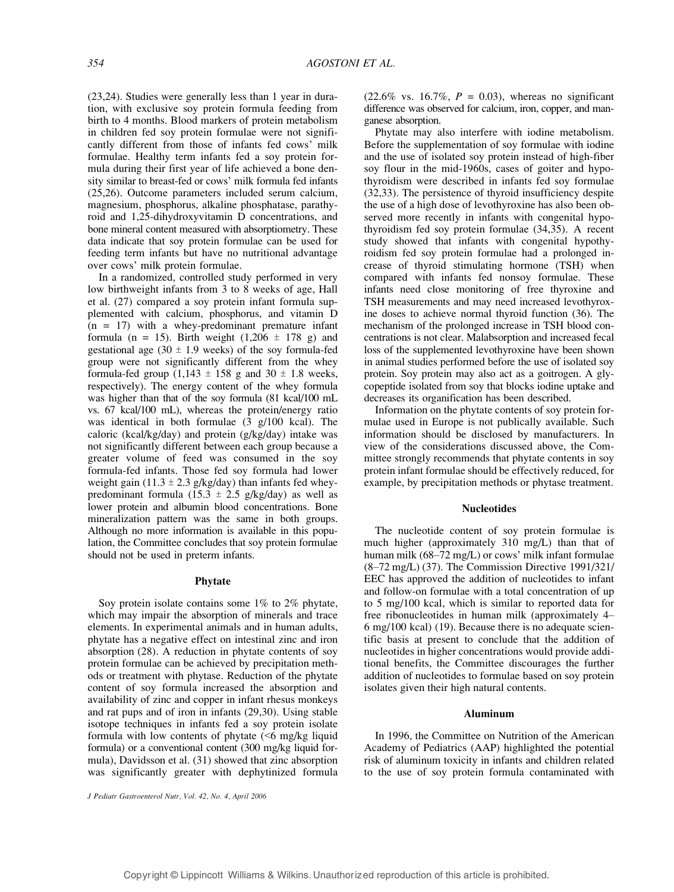(23,24). Studies were generally less than 1 year in duration, with exclusive soy protein formula feeding from birth to 4 months. Blood markers of protein metabolism in children fed soy protein formulae were not significantly different from those of infants fed cows' milk formulae. Healthy term infants fed a soy protein formula during their first year of life achieved a bone density similar to breast-fed or cows' milk formula fed infants (25,26). Outcome parameters included serum calcium, magnesium, phosphorus, alkaline phosphatase, parathyroid and 1,25-dihydroxyvitamin D concentrations, and bone mineral content measured with absorptiometry. These data indicate that soy protein formulae can be used for feeding term infants but have no nutritional advantage over cows' milk protein formulae.

In a randomized, controlled study performed in very low birthweight infants from 3 to 8 weeks of age, Hall et al. (27) compared a soy protein infant formula supplemented with calcium, phosphorus, and vitamin D  $(n = 17)$  with a whey-predominant premature infant formula (n = 15). Birth weight  $(1,206 \pm 178)$  g) and gestational age  $(30 \pm 1.9$  weeks) of the soy formula-fed group were not significantly different from the whey formula-fed group  $(1,143 \pm 158)$  g and  $30 \pm 1.8$  weeks, respectively). The energy content of the whey formula was higher than that of the soy formula (81 kcal/100 mL vs. 67 kcal/100 mL), whereas the protein/energy ratio was identical in both formulae (3 g/100 kcal). The caloric (kcal/kg/day) and protein (g/kg/day) intake was not significantly different between each group because a greater volume of feed was consumed in the soy formula-fed infants. Those fed soy formula had lower weight gain (11.3  $\pm$  2.3 g/kg/day) than infants fed wheypredominant formula (15.3  $\pm$  2.5 g/kg/day) as well as lower protein and albumin blood concentrations. Bone mineralization pattern was the same in both groups. Although no more information is available in this population, the Committee concludes that soy protein formulae should not be used in preterm infants.

#### Phytate

Soy protein isolate contains some 1% to 2% phytate, which may impair the absorption of minerals and trace elements. In experimental animals and in human adults, phytate has a negative effect on intestinal zinc and iron absorption (28). A reduction in phytate contents of soy protein formulae can be achieved by precipitation methods or treatment with phytase. Reduction of the phytate content of soy formula increased the absorption and availability of zinc and copper in infant rhesus monkeys and rat pups and of iron in infants (29,30). Using stable isotope techniques in infants fed a soy protein isolate formula with low contents of phytate  $( $6$  mg/kg liquid$ formula) or a conventional content (300 mg/kg liquid formula), Davidsson et al. (31) showed that zinc absorption was significantly greater with dephytinized formula  $(22.6\% \text{ vs. } 16.7\%, P = 0.03)$ , whereas no significant difference was observed for calcium, iron, copper, and manganese absorption.

Phytate may also interfere with iodine metabolism. Before the supplementation of soy formulae with iodine and the use of isolated soy protein instead of high-fiber soy flour in the mid-1960s, cases of goiter and hypothyroidism were described in infants fed soy formulae (32,33). The persistence of thyroid insufficiency despite the use of a high dose of levothyroxine has also been observed more recently in infants with congenital hypothyroidism fed soy protein formulae (34,35). A recent study showed that infants with congenital hypothyroidism fed soy protein formulae had a prolonged increase of thyroid stimulating hormone (TSH) when compared with infants fed nonsoy formulae. These infants need close monitoring of free thyroxine and TSH measurements and may need increased levothyroxine doses to achieve normal thyroid function (36). The mechanism of the prolonged increase in TSH blood concentrations is not clear. Malabsorption and increased fecal loss of the supplemented levothyroxine have been shown in animal studies performed before the use of isolated soy protein. Soy protein may also act as a goitrogen. A glycopeptide isolated from soy that blocks iodine uptake and decreases its organification has been described.

Information on the phytate contents of soy protein formulae used in Europe is not publically available. Such information should be disclosed by manufacturers. In view of the considerations discussed above, the Committee strongly recommends that phytate contents in soy protein infant formulae should be effectively reduced, for example, by precipitation methods or phytase treatment.

#### **Nucleotides**

The nucleotide content of soy protein formulae is much higher (approximately 310 mg/L) than that of human milk  $(68-72 \text{ mg/L})$  or cows' milk infant formulae  $(8-72 \text{ mg/L})$  (37). The Commission Directive 1991/321/ EEC has approved the addition of nucleotides to infant and follow-on formulae with a total concentration of up to 5 mg/100 kcal, which is similar to reported data for free ribonucleotides in human milk (approximately  $4-$ 6 mg/100 kcal) (19). Because there is no adequate scientific basis at present to conclude that the addition of nucleotides in higher concentrations would provide additional benefits, the Committee discourages the further addition of nucleotides to formulae based on soy protein isolates given their high natural contents.

#### Aluminum

In 1996, the Committee on Nutrition of the American Academy of Pediatrics (AAP) highlighted the potential risk of aluminum toxicity in infants and children related to the use of soy protein formula contaminated with

J Pediatr Gastroenterol Nutr, Vol. 42, No. 4, April 2006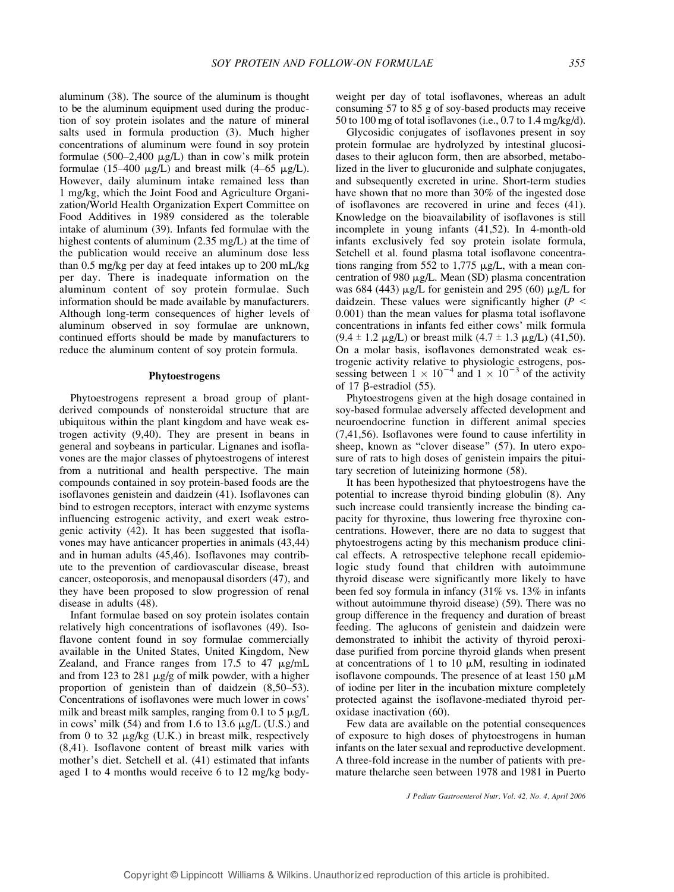aluminum (38). The source of the aluminum is thought to be the aluminum equipment used during the production of soy protein isolates and the nature of mineral salts used in formula production (3). Much higher concentrations of aluminum were found in soy protein formulae  $(500-2,400 \mu g/L)$  than in cow's milk protein formulae (15–400  $\mu$ g/L) and breast milk (4–65  $\mu$ g/L). However, daily aluminum intake remained less than 1 mg/kg, which the Joint Food and Agriculture Organization/World Health Organization Expert Committee on Food Additives in 1989 considered as the tolerable intake of aluminum (39). Infants fed formulae with the highest contents of aluminum (2.35 mg/L) at the time of the publication would receive an aluminum dose less than 0.5 mg/kg per day at feed intakes up to 200 mL/kg per day. There is inadequate information on the aluminum content of soy protein formulae. Such information should be made available by manufacturers. Although long-term consequences of higher levels of aluminum observed in soy formulae are unknown, continued efforts should be made by manufacturers to reduce the aluminum content of soy protein formula.

#### Phytoestrogens

Phytoestrogens represent a broad group of plantderived compounds of nonsteroidal structure that are ubiquitous within the plant kingdom and have weak estrogen activity (9,40). They are present in beans in general and soybeans in particular. Lignanes and isoflavones are the major classes of phytoestrogens of interest from a nutritional and health perspective. The main compounds contained in soy protein-based foods are the isoflavones genistein and daidzein (41). Isoflavones can bind to estrogen receptors, interact with enzyme systems influencing estrogenic activity, and exert weak estrogenic activity (42). It has been suggested that isoflavones may have anticancer properties in animals (43,44) and in human adults (45,46). Isoflavones may contribute to the prevention of cardiovascular disease, breast cancer, osteoporosis, and menopausal disorders (47), and they have been proposed to slow progression of renal disease in adults (48).

Infant formulae based on soy protein isolates contain relatively high concentrations of isoflavones (49). Isoflavone content found in soy formulae commercially available in the United States, United Kingdom, New Zealand, and France ranges from  $17.5$  to  $47 \mu g/mL$ and from 123 to 281  $\mu$ g/g of milk powder, with a higher proportion of genistein than of daidzein  $(8,50-53)$ . Concentrations of isoflavones were much lower in cows\_ milk and breast milk samples, ranging from 0.1 to 5  $\mu$ g/L in cows' milk (54) and from 1.6 to 13.6  $\mu$ g/L (U.S.) and from 0 to 32  $\mu$ g/kg (U.K.) in breast milk, respectively (8,41). Isoflavone content of breast milk varies with mother's diet. Setchell et al. (41) estimated that infants aged 1 to 4 months would receive 6 to 12 mg/kg bodyweight per day of total isoflavones, whereas an adult consuming 57 to 85 g of soy-based products may receive 50 to 100 mg of total isoflavones (i.e., 0.7 to 1.4 mg/kg/d).

Glycosidic conjugates of isoflavones present in soy protein formulae are hydrolyzed by intestinal glucosidases to their aglucon form, then are absorbed, metabolized in the liver to glucuronide and sulphate conjugates, and subsequently excreted in urine. Short-term studies have shown that no more than 30% of the ingested dose of isoflavones are recovered in urine and feces (41). Knowledge on the bioavailability of isoflavones is still incomplete in young infants (41,52). In 4-month-old infants exclusively fed soy protein isolate formula, Setchell et al. found plasma total isoflavone concentrations ranging from 552 to 1,775  $\mu$ g/L, with a mean concentration of 980  $\mu$ g/L. Mean (SD) plasma concentration was 684 (443)  $\mu$ g/L for genistein and 295 (60)  $\mu$ g/L for daidzein. These values were significantly higher ( $P \leq$ 0.001) than the mean values for plasma total isoflavone concentrations in infants fed either cows\_ milk formula  $(9.4 \pm 1.2 \,\mu g/L)$  or breast milk  $(4.7 \pm 1.3 \,\mu g/L)$  (41,50). On a molar basis, isoflavones demonstrated weak estrogenic activity relative to physiologic estrogens, possessing between  $1 \times 10^{-4}$  and  $1 \times 10^{-3}$  of the activity of 17  $\beta$ -estradiol (55).

Phytoestrogens given at the high dosage contained in soy-based formulae adversely affected development and neuroendocrine function in different animal species (7,41,56). Isoflavones were found to cause infertility in sheep, known as "clover disease" (57). In utero exposure of rats to high doses of genistein impairs the pituitary secretion of luteinizing hormone (58).

It has been hypothesized that phytoestrogens have the potential to increase thyroid binding globulin (8). Any such increase could transiently increase the binding capacity for thyroxine, thus lowering free thyroxine concentrations. However, there are no data to suggest that phytoestrogens acting by this mechanism produce clinical effects. A retrospective telephone recall epidemiologic study found that children with autoimmune thyroid disease were significantly more likely to have been fed soy formula in infancy (31% vs. 13% in infants without autoimmune thyroid disease) (59). There was no group difference in the frequency and duration of breast feeding. The aglucons of genistein and daidzein were demonstrated to inhibit the activity of thyroid peroxidase purified from porcine thyroid glands when present at concentrations of 1 to 10  $\mu$ M, resulting in iodinated isoflavone compounds. The presence of at least  $150 \mu M$ of iodine per liter in the incubation mixture completely protected against the isoflavone-mediated thyroid peroxidase inactivation (60).

Few data are available on the potential consequences of exposure to high doses of phytoestrogens in human infants on the later sexual and reproductive development. A three-fold increase in the number of patients with premature thelarche seen between 1978 and 1981 in Puerto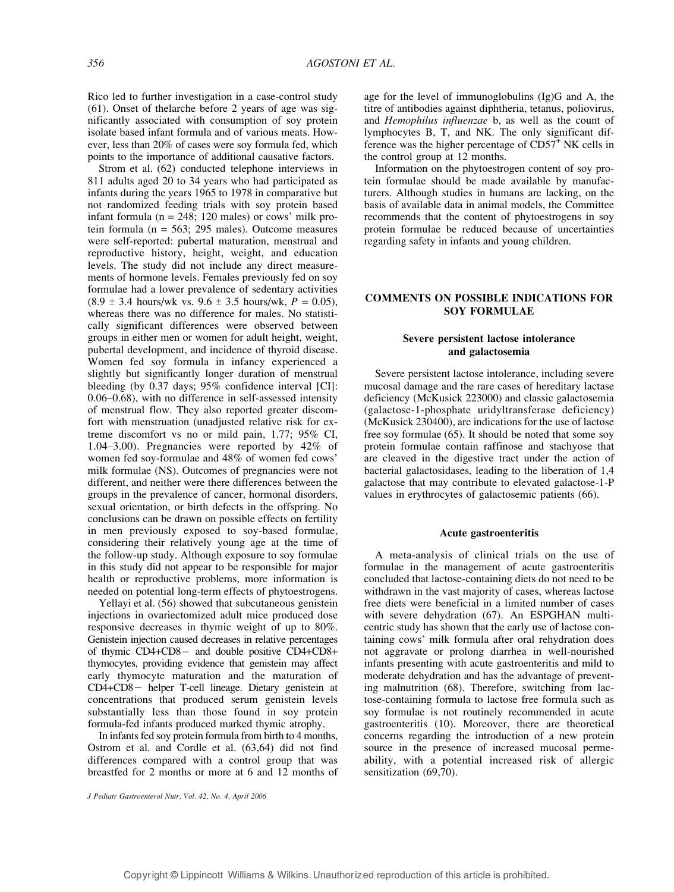Rico led to further investigation in a case-control study (61). Onset of thelarche before 2 years of age was significantly associated with consumption of soy protein isolate based infant formula and of various meats. However, less than 20% of cases were soy formula fed, which points to the importance of additional causative factors.

Strom et al. (62) conducted telephone interviews in 811 adults aged 20 to 34 years who had participated as infants during the years 1965 to 1978 in comparative but not randomized feeding trials with soy protein based infant formula ( $n = 248$ ; 120 males) or cows' milk protein formula ( $n = 563$ ; 295 males). Outcome measures were self-reported: pubertal maturation, menstrual and reproductive history, height, weight, and education levels. The study did not include any direct measurements of hormone levels. Females previously fed on soy formulae had a lower prevalence of sedentary activities  $(8.9 \pm 3.4 \text{ hours/wk vs. } 9.6 \pm 3.5 \text{ hours/wk}, P = 0.05)$ , whereas there was no difference for males. No statistically significant differences were observed between groups in either men or women for adult height, weight, pubertal development, and incidence of thyroid disease. Women fed soy formula in infancy experienced a slightly but significantly longer duration of menstrual bleeding (by 0.37 days; 95% confidence interval [CI]:  $0.06 - 0.68$ ), with no difference in self-assessed intensity of menstrual flow. They also reported greater discomfort with menstruation (unadjusted relative risk for extreme discomfort vs no or mild pain, 1.77; 95% CI, 1.04-3.00). Pregnancies were reported by  $42\%$  of women fed soy-formulae and 48% of women fed cows' milk formulae (NS). Outcomes of pregnancies were not different, and neither were there differences between the groups in the prevalence of cancer, hormonal disorders, sexual orientation, or birth defects in the offspring. No conclusions can be drawn on possible effects on fertility in men previously exposed to soy-based formulae, considering their relatively young age at the time of the follow-up study. Although exposure to soy formulae in this study did not appear to be responsible for major health or reproductive problems, more information is needed on potential long-term effects of phytoestrogens.

Yellayi et al. (56) showed that subcutaneous genistein injections in ovariectomized adult mice produced dose responsive decreases in thymic weight of up to 80%. Genistein injection caused decreases in relative percentages of thymic  $CD4+CD8-$  and double positive  $CD4+CD8+$ thymocytes, providing evidence that genistein may affect early thymocyte maturation and the maturation of CD4+CD8- helper T-cell lineage. Dietary genistein at concentrations that produced serum genistein levels substantially less than those found in soy protein formula-fed infants produced marked thymic atrophy.

In infants fed soy protein formula from birth to 4 months, Ostrom et al. and Cordle et al. (63,64) did not find differences compared with a control group that was breastfed for 2 months or more at 6 and 12 months of

J Pediatr Gastroenterol Nutr, Vol. 42, No. 4, April 2006

age for the level of immunoglobulins (Ig)G and A, the titre of antibodies against diphtheria, tetanus, poliovirus, and Hemophilus influenzae b, as well as the count of lymphocytes B, T, and NK. The only significant difference was the higher percentage of CD57<sup>+</sup> NK cells in the control group at 12 months.

Information on the phytoestrogen content of soy protein formulae should be made available by manufacturers. Although studies in humans are lacking, on the basis of available data in animal models, the Committee recommends that the content of phytoestrogens in soy protein formulae be reduced because of uncertainties regarding safety in infants and young children.

## COMMENTS ON POSSIBLE INDICATIONS FOR SOY FORMULAE

## Severe persistent lactose intolerance and galactosemia

Severe persistent lactose intolerance, including severe mucosal damage and the rare cases of hereditary lactase deficiency (McKusick 223000) and classic galactosemia (galactose-1-phosphate uridyltransferase deficiency) (McKusick 230400), are indications for the use of lactose free soy formulae (65). It should be noted that some soy protein formulae contain raffinose and stachyose that are cleaved in the digestive tract under the action of bacterial galactosidases, leading to the liberation of 1,4 galactose that may contribute to elevated galactose-1-P values in erythrocytes of galactosemic patients (66).

#### Acute gastroenteritis

A meta-analysis of clinical trials on the use of formulae in the management of acute gastroenteritis concluded that lactose-containing diets do not need to be withdrawn in the vast majority of cases, whereas lactose free diets were beneficial in a limited number of cases with severe dehydration (67). An ESPGHAN multicentric study has shown that the early use of lactose containing cows' milk formula after oral rehydration does not aggravate or prolong diarrhea in well-nourished infants presenting with acute gastroenteritis and mild to moderate dehydration and has the advantage of preventing malnutrition (68). Therefore, switching from lactose-containing formula to lactose free formula such as soy formulae is not routinely recommended in acute gastroenteritis (10). Moreover, there are theoretical concerns regarding the introduction of a new protein source in the presence of increased mucosal permeability, with a potential increased risk of allergic sensitization (69,70).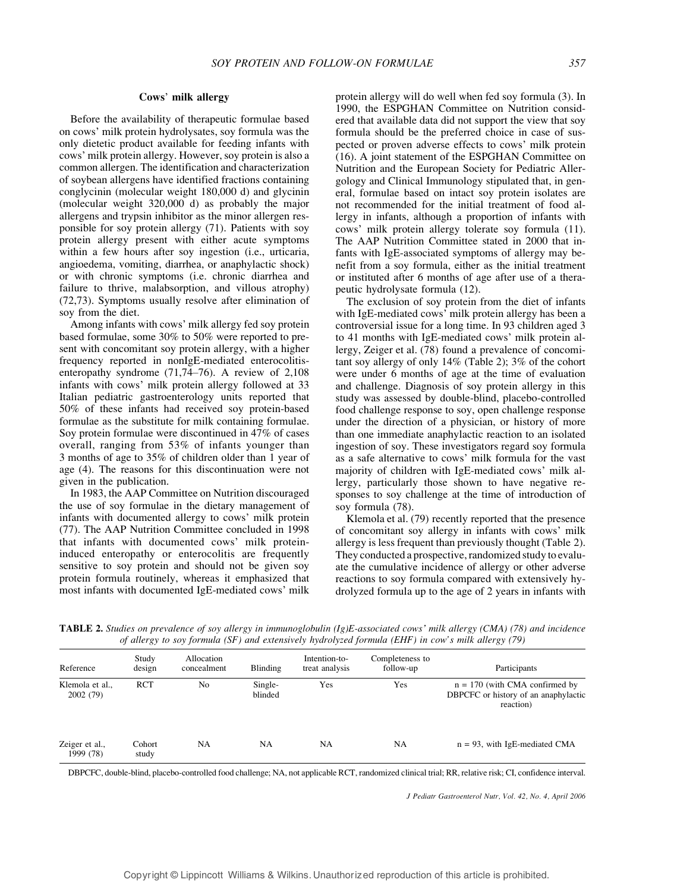#### Cows' milk allergy

Before the availability of therapeutic formulae based on cows' milk protein hydrolysates, soy formula was the only dietetic product available for feeding infants with cows' milk protein allergy. However, soy protein is also a common allergen. The identification and characterization of soybean allergens have identified fractions containing conglycinin (molecular weight 180,000 d) and glycinin (molecular weight 320,000 d) as probably the major allergens and trypsin inhibitor as the minor allergen responsible for soy protein allergy (71). Patients with soy protein allergy present with either acute symptoms within a few hours after soy ingestion (i.e., urticaria, angioedema, vomiting, diarrhea, or anaphylactic shock) or with chronic symptoms (i.e. chronic diarrhea and failure to thrive, malabsorption, and villous atrophy) (72,73). Symptoms usually resolve after elimination of soy from the diet.

Among infants with cows' milk allergy fed soy protein based formulae, some 30% to 50% were reported to present with concomitant soy protein allergy, with a higher frequency reported in nonIgE-mediated enterocolitisenteropathy syndrome  $(71,74–76)$ . A review of  $2,108$ infants with cows' milk protein allergy followed at 33 Italian pediatric gastroenterology units reported that 50% of these infants had received soy protein-based formulae as the substitute for milk containing formulae. Soy protein formulae were discontinued in 47% of cases overall, ranging from 53% of infants younger than 3 months of age to 35% of children older than 1 year of age (4). The reasons for this discontinuation were not given in the publication.

In 1983, the AAP Committee on Nutrition discouraged the use of soy formulae in the dietary management of infants with documented allergy to cows' milk protein (77). The AAP Nutrition Committee concluded in 1998 that infants with documented cows' milk proteininduced enteropathy or enterocolitis are frequently sensitive to soy protein and should not be given soy protein formula routinely, whereas it emphasized that most infants with documented IgE-mediated cows' milk

protein allergy will do well when fed soy formula (3). In 1990, the ESPGHAN Committee on Nutrition considered that available data did not support the view that soy formula should be the preferred choice in case of suspected or proven adverse effects to cows' milk protein (16). A joint statement of the ESPGHAN Committee on Nutrition and the European Society for Pediatric Allergology and Clinical Immunology stipulated that, in general, formulae based on intact soy protein isolates are not recommended for the initial treatment of food allergy in infants, although a proportion of infants with cows' milk protein allergy tolerate soy formula (11). The AAP Nutrition Committee stated in 2000 that infants with IgE-associated symptoms of allergy may benefit from a soy formula, either as the initial treatment or instituted after 6 months of age after use of a therapeutic hydrolysate formula (12).

The exclusion of soy protein from the diet of infants with IgE-mediated cows' milk protein allergy has been a controversial issue for a long time. In 93 children aged 3 to 41 months with IgE-mediated cows' milk protein allergy, Zeiger et al. (78) found a prevalence of concomitant soy allergy of only 14% (Table 2); 3% of the cohort were under 6 months of age at the time of evaluation and challenge. Diagnosis of soy protein allergy in this study was assessed by double-blind, placebo-controlled food challenge response to soy, open challenge response under the direction of a physician, or history of more than one immediate anaphylactic reaction to an isolated ingestion of soy. These investigators regard soy formula as a safe alternative to cows' milk formula for the vast majority of children with IgE-mediated cows' milk allergy, particularly those shown to have negative responses to soy challenge at the time of introduction of soy formula (78).

Klemola et al. (79) recently reported that the presence of concomitant soy allergy in infants with cows\_ milk allergy is less frequent than previously thought (Table 2). They conducted a prospective, randomized study to evaluate the cumulative incidence of allergy or other adverse reactions to soy formula compared with extensively hydrolyzed formula up to the age of 2 years in infants with

| Reference                   | Study<br>design | Allocation<br>concealment | <b>Blinding</b>    | Intention-to-<br>treat analysis | Completeness to<br>follow-up | Participants                                                                          |
|-----------------------------|-----------------|---------------------------|--------------------|---------------------------------|------------------------------|---------------------------------------------------------------------------------------|
| Klemola et al.,<br>2002(79) | <b>RCT</b>      | No                        | Single-<br>blinded | Yes                             | Yes                          | $n = 170$ (with CMA confirmed by<br>DBPCFC or history of an anaphylactic<br>reaction) |
| Zeiger et al.,<br>1999 (78) | Cohort<br>study | NA                        | NA                 | NA                              | <b>NA</b>                    | $n = 93$ , with IgE-mediated CMA                                                      |

**TABLE 2.** Studies on prevalence of soy allergy in immunoglobulin  $(Ig)E$ -associated cows' milk allergy (CMA) (78) and incidence of allergy to soy formula (SF) and extensively hydrolyzed formula (EHF) in cow's milk allergy (79)

DBPCFC, double-blind, placebo-controlled food challenge; NA, not applicable RCT, randomized clinical trial; RR, relative risk; CI, confidence interval.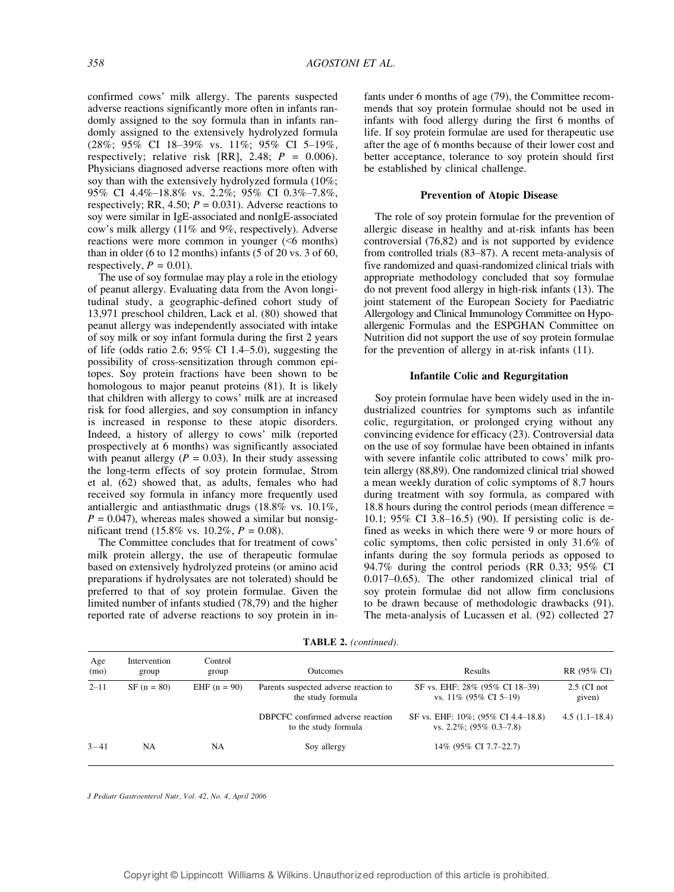confirmed cows' milk allergy. The parents suspected adverse reactions significantly more often in infants randomly assigned to the soy formula than in infants randomly assigned to the extensively hydrolyzed formula (28%; 95% CI 18-39% vs. 11%; 95% CI 5-19%, respectively; relative risk [RR], 2.48;  $P = 0.006$ ). Physicians diagnosed adverse reactions more often with soy than with the extensively hydrolyzed formula (10%; 95% CI 4.4%-18.8% vs. 2.2%; 95% CI 0.3%-7.8%, respectively; RR, 4.50;  $P = 0.031$ ). Adverse reactions to soy were similar in IgE-associated and nonIgE-associated cow's milk allergy (11% and 9%, respectively). Adverse reactions were more common in younger (<6 months) than in older (6 to 12 months) infants (5 of 20 vs. 3 of 60, respectively,  $P = 0.01$ ).

The use of soy formulae may play a role in the etiology of peanut allergy. Evaluating data from the Avon longitudinal study, a geographic-defined cohort study of 13,971 preschool children, Lack et al. (80) showed that peanut allergy was independently associated with intake of soy milk or soy infant formula during the first 2 years of life (odds ratio 2.6;  $95\%$  CI 1.4-5.0), suggesting the possibility of cross-sensitization through common epitopes. Soy protein fractions have been shown to be homologous to major peanut proteins (81). It is likely that children with allergy to cows' milk are at increased risk for food allergies, and soy consumption in infancy is increased in response to these atopic disorders. Indeed, a history of allergy to cows' milk (reported prospectively at 6 months) was significantly associated with peanut allergy ( $P = 0.03$ ). In their study assessing the long-term effects of soy protein formulae, Strom et al. (62) showed that, as adults, females who had received soy formula in infancy more frequently used antiallergic and antiasthmatic drugs (18.8% vs. 10.1%,  $P = 0.047$ , whereas males showed a similar but nonsignificant trend (15.8% vs. 10.2%,  $P = 0.08$ ).

The Committee concludes that for treatment of cows' milk protein allergy, the use of therapeutic formulae based on extensively hydrolyzed proteins (or amino acid preparations if hydrolysates are not tolerated) should be preferred to that of soy protein formulae. Given the limited number of infants studied (78,79) and the higher reported rate of adverse reactions to soy protein in infants under 6 months of age (79), the Committee recommends that soy protein formulae should not be used in infants with food allergy during the first 6 months of life. If soy protein formulae are used for therapeutic use after the age of 6 months because of their lower cost and better acceptance, tolerance to soy protein should first be established by clinical challenge.

#### Prevention of Atopic Disease

The role of soy protein formulae for the prevention of allergic disease in healthy and at-risk infants has been controversial (76,82) and is not supported by evidence from controlled trials  $(83–87)$ . A recent meta-analysis of five randomized and quasi-randomized clinical trials with appropriate methodology concluded that soy formulae do not prevent food allergy in high-risk infants (13). The joint statement of the European Society for Paediatric Allergology and Clinical Immunology Committee on Hypoallergenic Formulas and the ESPGHAN Committee on Nutrition did not support the use of soy protein formulae for the prevention of allergy in at-risk infants (11).

#### Infantile Colic and Regurgitation

Soy protein formulae have been widely used in the industrialized countries for symptoms such as infantile colic, regurgitation, or prolonged crying without any convincing evidence for efficacy (23). Controversial data on the use of soy formulae have been obtained in infants with severe infantile colic attributed to cows' milk protein allergy (88,89). One randomized clinical trial showed a mean weekly duration of colic symptoms of 8.7 hours during treatment with soy formula, as compared with 18.8 hours during the control periods (mean difference = 10.1;  $95\%$  CI 3.8-16.5) (90). If persisting colic is defined as weeks in which there were 9 or more hours of colic symptoms, then colic persisted in only 31.6% of infants during the soy formula periods as opposed to 94.7% during the control periods (RR 0.33; 95% CI  $0.017-0.65$ ). The other randomized clinical trial of soy protein formulae did not allow firm conclusions to be drawn because of methodologic drawbacks (91). The meta-analysis of Lucassen et al. (92) collected 27

| Age<br>(mo) | Intervention<br>group | Control<br>group | <b>Outcomes</b>                                            | Results                                                            | RR (95% CI)             |
|-------------|-----------------------|------------------|------------------------------------------------------------|--------------------------------------------------------------------|-------------------------|
| $2 - 11$    | $SF (n = 80)$         | EHF $(n = 90)$   | Parents suspected adverse reaction to<br>the study formula | SF vs. EHF: 28% (95% CI 18–39)<br>vs. $11\%$ (95% CI 5–19)         | $2.5$ (CI not<br>given) |
|             |                       |                  | DBPCFC confirmed adverse reaction<br>to the study formula  | SF vs. EHF: 10%; (95% CI 4.4–18.8)<br>vs. $2.2\%$ ; (95\% 0.3-7.8) | $4.5(1.1-18.4)$         |
| $3 - 41$    | <b>NA</b>             | <b>NA</b>        | Soy allergy                                                | 14% (95% CI 7.7–22.7)                                              |                         |

TABLE 2. (continued).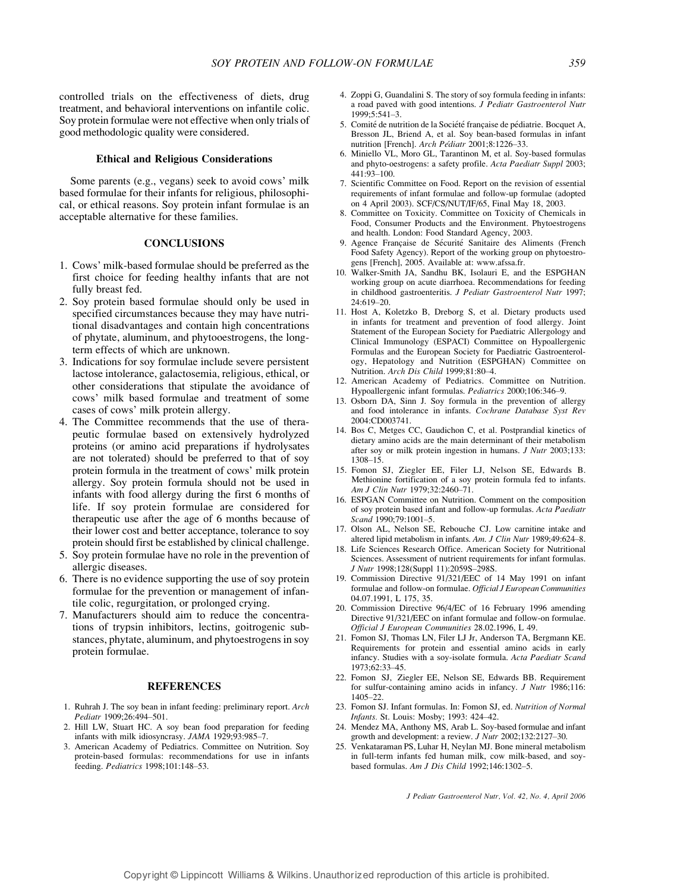controlled trials on the effectiveness of diets, drug treatment, and behavioral interventions on infantile colic. Soy protein formulae were not effective when only trials of good methodologic quality were considered.

#### Ethical and Religious Considerations

Some parents (e.g., vegans) seek to avoid cows' milk based formulae for their infants for religious, philosophical, or ethical reasons. Soy protein infant formulae is an acceptable alternative for these families.

#### **CONCLUSIONS**

- 1. Cows' milk-based formulae should be preferred as the first choice for feeding healthy infants that are not fully breast fed.
- 2. Soy protein based formulae should only be used in specified circumstances because they may have nutritional disadvantages and contain high concentrations of phytate, aluminum, and phytooestrogens, the longterm effects of which are unknown.
- 3. Indications for soy formulae include severe persistent lactose intolerance, galactosemia, religious, ethical, or other considerations that stipulate the avoidance of cows' milk based formulae and treatment of some cases of cows' milk protein allergy.
- 4. The Committee recommends that the use of therapeutic formulae based on extensively hydrolyzed proteins (or amino acid preparations if hydrolysates are not tolerated) should be preferred to that of soy protein formula in the treatment of cows' milk protein allergy. Soy protein formula should not be used in infants with food allergy during the first 6 months of life. If soy protein formulae are considered for therapeutic use after the age of 6 months because of their lower cost and better acceptance, tolerance to soy protein should first be established by clinical challenge.
- 5. Soy protein formulae have no role in the prevention of allergic diseases.
- 6. There is no evidence supporting the use of soy protein formulae for the prevention or management of infantile colic, regurgitation, or prolonged crying.
- 7. Manufacturers should aim to reduce the concentrations of trypsin inhibitors, lectins, goitrogenic substances, phytate, aluminum, and phytoestrogens in soy protein formulae.

#### REFERENCES

- 1. Ruhrah J. The soy bean in infant feeding: preliminary report. Arch Pediatr 1909;26:494-501.
- 2. Hill LW, Stuart HC. A soy bean food preparation for feeding infants with milk idiosyncrasy. JAMA 1929;93:985-7.
- 3. American Academy of Pediatrics. Committee on Nutrition. Soy protein-based formulas: recommendations for use in infants feeding. Pediatrics 1998;101:148-53.
- 4. Zoppi G, Guandalini S. The story of soy formula feeding in infants: a road paved with good intentions. J Pediatr Gastroenterol Nutr  $1999:5:541-3$
- 5. Comité de nutrition de la Société française de pédiatrie. Bocquet A, Bresson JL, Briend A, et al. Soy bean-based formulas in infant nutrition [French]. Arch Pédiatr 2001;8:1226-33.
- 6. Miniello VL, Moro GL, Tarantinon M, et al. Soy-based formulas and phyto-oestrogens: a safety profile. Acta Paediatr Suppl 2003; 441:93-100.
- 7. Scientific Committee on Food. Report on the revision of essential requirements of infant formulae and follow-up formulae (adopted on 4 April 2003). SCF/CS/NUT/IF/65, Final May 18, 2003.
- 8. Committee on Toxicity. Committee on Toxicity of Chemicals in Food, Consumer Products and the Environment. Phytoestrogens and health. London: Food Standard Agency, 2003.
- 9. Agence Française de Sécurité Sanitaire des Aliments (French Food Safety Agency). Report of the working group on phytoestrogens [French], 2005. Available at: www.afssa.fr.
- 10. Walker-Smith JA, Sandhu BK, Isolauri E, and the ESPGHAN working group on acute diarrhoea. Recommendations for feeding in childhood gastroenteritis. J Pediatr Gastroenterol Nutr 1997;  $24:619 - 20.$
- 11. Host A, Koletzko B, Dreborg S, et al. Dietary products used in infants for treatment and prevention of food allergy. Joint Statement of the European Society for Paediatric Allergology and Clinical Immunology (ESPACI) Committee on Hypoallergenic Formulas and the European Society for Paediatric Gastroenterology, Hepatology and Nutrition (ESPGHAN) Committee on Nutrition. Arch Dis Child 1999;81:80-4.
- 12. American Academy of Pediatrics. Committee on Nutrition. Hypoallergenic infant formulas. Pediatrics 2000;106:346-9.
- 13. Osborn DA, Sinn J. Soy formula in the prevention of allergy and food intolerance in infants. Cochrane Database Syst Rev 2004:CD003741.
- 14. Bos C, Metges CC, Gaudichon C, et al. Postprandial kinetics of dietary amino acids are the main determinant of their metabolism after soy or milk protein ingestion in humans. J Nutr 2003;133:  $1308 - 15$ .
- 15. Fomon SJ, Ziegler EE, Filer LJ, Nelson SE, Edwards B. Methionine fortification of a soy protein formula fed to infants. Am J Clin Nutr 1979;32:2460-71.
- 16. ESPGAN Committee on Nutrition. Comment on the composition of soy protein based infant and follow-up formulas. Acta Paediatr Scand 1990;79:1001-5.
- 17. Olson AL, Nelson SE, Rebouche CJ. Low carnitine intake and altered lipid metabolism in infants. Am. J Clin Nutr  $1989:49:624-8$ .
- 18. Life Sciences Research Office. American Society for Nutritional Sciences. Assessment of nutrient requirements for infant formulas. J Nutr 1998;128(Suppl 11):2059S-298S.
- 19. Commission Directive 91/321/EEC of 14 May 1991 on infant formulae and follow-on formulae. Official J European Communities 04.07.1991, L 175, 35.
- 20. Commission Directive 96/4/EC of 16 February 1996 amending Directive 91/321/EEC on infant formulae and follow-on formulae. Official J European Communities 28.02.1996, L 49.
- 21. Fomon SJ, Thomas LN, Filer LJ Jr, Anderson TA, Bergmann KE. Requirements for protein and essential amino acids in early infancy. Studies with a soy-isolate formula. Acta Paediatr Scand 1973;62:33-45.
- 22. Fomon SJ, Ziegler EE, Nelson SE, Edwards BB. Requirement for sulfur-containing amino acids in infancy. *J Nutr* 1986;116:  $1405 - 22$
- 23. Fomon SJ. Infant formulas. In: Fomon SJ, ed. Nutrition of Normal Infants. St. Louis: Mosby; 1993: 424-42.
- 24. Mendez MA, Anthony MS, Arab L. Soy-based formulae and infant growth and development: a review.  $J$  Nutr 2002;132:2127-30.
- 25. Venkataraman PS, Luhar H, Neylan MJ. Bone mineral metabolism in full-term infants fed human milk, cow milk-based, and soybased formulas. Am J Dis Child 1992;146:1302-5.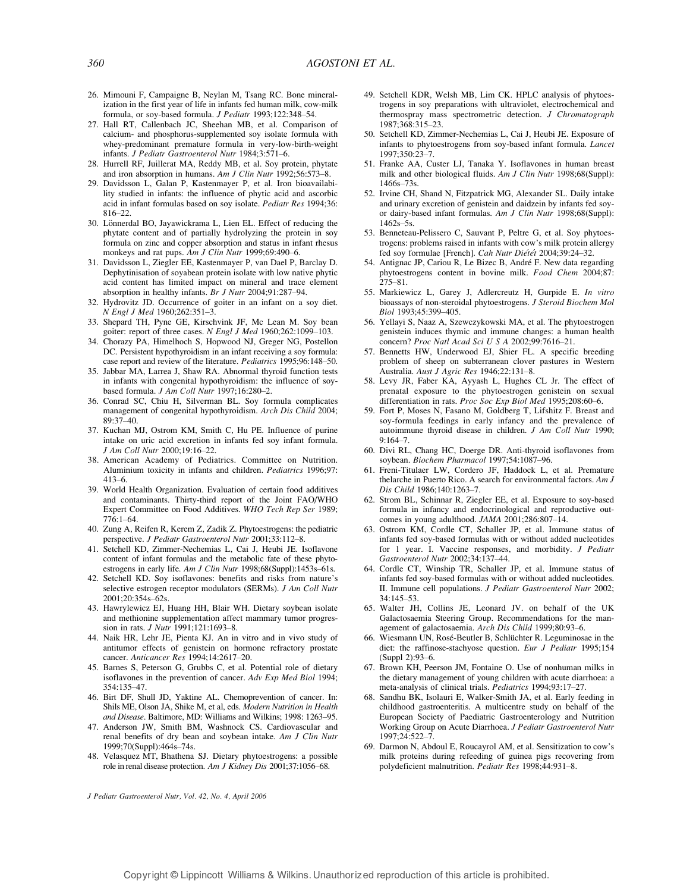- 26. Mimouni F, Campaigne B, Neylan M, Tsang RC. Bone mineralization in the first year of life in infants fed human milk, cow-milk formula, or soy-based formula. J Pediatr 1993;122:348-54.
- 27. Hall RT, Callenbach JC, Sheehan MB, et al. Comparison of calcium- and phosphorus-supplemented soy isolate formula with whey-predominant premature formula in very-low-birth-weight infants. J Pediatr Gastroenterol Nutr 1984;3:571-6.
- 28. Hurrell RF, Juillerat MA, Reddy MB, et al. Soy protein, phytate and iron absorption in humans. Am J Clin Nutr  $1992;56:573-8$ .
- 29. Davidsson L, Galan P, Kastenmayer P, et al. Iron bioavailability studied in infants: the influence of phytic acid and ascorbic acid in infant formulas based on soy isolate. Pediatr Res 1994;36: 816-22.
- 30. Lönnerdal BO, Jayawickrama L, Lien EL. Effect of reducing the phytate content and of partially hydrolyzing the protein in soy formula on zinc and copper absorption and status in infant rhesus monkeys and rat pups. Am J Clin Nutr 1999;69:490-6.
- 31. Davidsson L, Ziegler EE, Kastenmayer P, van Dael P, Barclay D. Dephytinisation of soyabean protein isolate with low native phytic acid content has limited impact on mineral and trace element absorption in healthy infants. Br J Nutr 2004;91:287-94.
- 32. Hydrovitz JD. Occurrence of goiter in an infant on a soy diet. N Engl J Med 1960;262:351-3.
- 33. Shepard TH, Pyne GE, Kirschvink JF, Mc Lean M. Soy bean goiter: report of three cases. N Engl J Med  $1960;262:1099-103$ .
- 34. Chorazy PA, Himelhoch S, Hopwood NJ, Greger NG, Postellon DC. Persistent hypothyroidism in an infant receiving a soy formula: case report and review of the literature. Pediatrics 1995;96:148-50.
- 35. Jabbar MA, Larrea J, Shaw RA. Abnormal thyroid function tests in infants with congenital hypothyroidism: the influence of soybased formula. J Am Coll Nutr  $1997:16:280-2$ .
- 36. Conrad SC, Chiu H, Silverman BL. Soy formula complicates management of congenital hypothyroidism. Arch Dis Child 2004;  $89.37 - 40.$
- 37. Kuchan MJ, Ostrom KM, Smith C, Hu PE. Influence of purine intake on uric acid excretion in infants fed soy infant formula. J Am Coll Nutr 2000;19:16-22.
- 38. American Academy of Pediatrics. Committee on Nutrition. Aluminium toxicity in infants and children. Pediatrics 1996;97:  $413 - 6.$
- 39. World Health Organization. Evaluation of certain food additives and contaminants. Thirty-third report of the Joint FAO/WHO Expert Committee on Food Additives. WHO Tech Rep Ser 1989;  $776:1-64.$
- 40. Zung A, Reifen R, Kerem Z, Zadik Z. Phytoestrogens: the pediatric perspective. J Pediatr Gastroenterol Nutr 2001:33:112-8.
- 41. Setchell KD, Zimmer-Nechemias L, Cai J, Heubi JE. Isoflavone content of infant formulas and the metabolic fate of these phytoestrogens in early life. Am J Clin Nutr 1998;68(Suppl):1453s-61s.
- 42. Setchell KD. Soy isoflavones: benefits and risks from nature's selective estrogen receptor modulators (SERMs). J Am Coll Nutr 2001:20:354s-62s.
- 43. Hawrylewicz EJ, Huang HH, Blair WH. Dietary soybean isolate and methionine supplementation affect mammary tumor progression in rats. *J Nutr*  $1991:121:1693-8$ .
- 44. Naik HR, Lehr JE, Pienta KJ. An in vitro and in vivo study of antitumor effects of genistein on hormone refractory prostate cancer. Anticancer Res 1994:14:2617-20.
- 45. Barnes S, Peterson G, Grubbs C, et al. Potential role of dietary isoflavones in the prevention of cancer. Adv Exp Med Biol 1994; 354:135-47.
- 46. Birt DF, Shull JD, Yaktine AL. Chemoprevention of cancer. In: Shils ME, Olson JA, Shike M, et al, eds. Modern Nutrition in Health and Disease. Baltimore, MD: Williams and Wilkins; 1998: 1263-95.
- 47. Anderson JW, Smith BM, Washnock CS. Cardiovascular and renal benefits of dry bean and soybean intake. Am J Clin Nutr 1999;70(Suppl):464s-74s.
- 48. Velasquez MT, Bhathena SJ. Dietary phytoestrogens: a possible role in renal disease protection. Am J Kidney Dis 2001;37:1056-68.

- 49. Setchell KDR, Welsh MB, Lim CK. HPLC analysis of phytoestrogens in soy preparations with ultraviolet, electrochemical and thermospray mass spectrometric detection. J Chromatograph 1987:368:315-23.
- 50. Setchell KD, Zimmer-Nechemias L, Cai J, Heubi JE. Exposure of infants to phytoestrogens from soy-based infant formula. Lancet 1997:350:23-7.
- 51. Franke AA, Custer LJ, Tanaka Y. Isoflavones in human breast milk and other biological fluids. Am J Clin Nutr 1998;68(Suppl):  $1466s - 73s$
- 52. Irvine CH, Shand N, Fitzpatrick MG, Alexander SL. Daily intake and urinary excretion of genistein and daidzein by infants fed soyor dairy-based infant formulas. Am J Clin Nutr 1998;68(Suppl):  $1462s - 5s$ .
- 53. Benneteau-Pelissero C, Sauvant P, Peltre G, et al. Soy phytoestrogens: problems raised in infants with cow's milk protein allergy fed soy formulae [French]. Cah Nutr Diétét 2004;39:24-32.
- 54. Antignac JP, Cariou R, Le Bizec B, André F. New data regarding phytoestrogens content in bovine milk. Food Chem 2004;87:  $275 - 81$ .
- 55. Markiewicz L, Garey J, Adlercreutz H, Gurpide E. In vitro bioassays of non-steroidal phytoestrogens. J Steroid Biochem Mol Biol 1993:45:399-405.
- 56. Yellayi S, Naaz A, Szewczykowski MA, et al. The phytoestrogen genistein induces thymic and immune changes: a human health concern? Proc Natl Acad Sci U S A 2002;99:7616-21.
- 57. Bennetts HW, Underwood EJ, Shier FL. A specific breeding problem of sheep on subterranean clover pastures in Western Australia. Aust J Agric Res 1946;22:131-8.
- 58. Levy JR, Faber KA, Ayyash L, Hughes CL Jr. The effect of prenatal exposure to the phytoestrogen genistein on sexual differentiation in rats. Proc Soc Exp Biol Med 1995;208:60-6.
- 59. Fort P, Moses N, Fasano M, Goldberg T, Lifshitz F. Breast and soy-formula feedings in early infancy and the prevalence of autoimmune thyroid disease in children. J Am Coll Nutr 1990;  $9:164 - 7$ .
- 60. Divi RL, Chang HC, Doerge DR. Anti-thyroid isoflavones from soybean. Biochem Pharmacol 1997;54:1087-96.
- 61. Freni-Titulaer LW, Cordero JF, Haddock L, et al. Premature thelarche in Puerto Rico. A search for environmental factors. Am J Dis Child 1986;140:1263-7.
- 62. Strom BL, Schinnar R, Ziegler EE, et al. Exposure to soy-based formula in infancy and endocrinological and reproductive outcomes in young adulthood. JAMA 2001;286:807-14.
- 63. Ostrom KM, Cordle CT, Schaller JP, et al. Immune status of infants fed soy-based formulas with or without added nucleotides for 1 year. I. Vaccine responses, and morbidity. J Pediatr Gastroenterol Nutr 2002;34:137-44.
- 64. Cordle CT, Winship TR, Schaller JP, et al. Immune status of infants fed soy-based formulas with or without added nucleotides. II. Immune cell populations. J Pediatr Gastroenterol Nutr 2002; 34:145-53.
- 65. Walter JH, Collins JE, Leonard JV. on behalf of the UK Galactosaemia Steering Group. Recommendations for the management of galactosaemia. Arch Dis Child 1999:80:93-6.
- 66. Wiesmann UN, Rosé-Beutler B, Schlüchter R. Leguminosae in the diet: the raffinose-stachyose question. Eur J Pediatr 1995;154  $(Suppl 2):93-6.$
- 67. Brown KH, Peerson JM, Fontaine O. Use of nonhuman milks in the dietary management of young children with acute diarrhoea: a meta-analysis of clinical trials. *Pediatrics* 1994;93:17-27.
- 68. Sandhu BK, Isolauri E, Walker-Smith JA, et al. Early feeding in childhood gastroenteritis. A multicentre study on behalf of the European Society of Paediatric Gastroenterology and Nutrition Working Group on Acute Diarrhoea. J Pediatr Gastroenterol Nutr 1997;24:522-7.
- 69. Darmon N, Abdoul E, Roucayrol AM, et al. Sensitization to cow's milk proteins during refeeding of guinea pigs recovering from polydeficient malnutrition. Pediatr Res 1998;44:931-8.